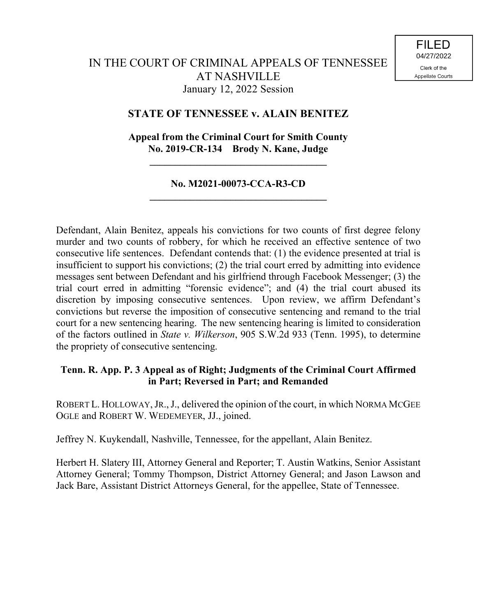# **STATE OF TENNESSEE v. ALAIN BENITEZ**

# **Appeal from the Criminal Court for Smith County No. 2019-CR-134 Brody N. Kane, Judge**

**\_\_\_\_\_\_\_\_\_\_\_\_\_\_\_\_\_\_\_\_\_\_\_\_\_\_\_\_\_\_\_\_\_\_\_**

## **No. M2021-00073-CCA-R3-CD \_\_\_\_\_\_\_\_\_\_\_\_\_\_\_\_\_\_\_\_\_\_\_\_\_\_\_\_\_\_\_\_\_\_\_**

Defendant, Alain Benitez, appeals his convictions for two counts of first degree felony murder and two counts of robbery, for which he received an effective sentence of two consecutive life sentences. Defendant contends that: (1) the evidence presented at trial is insufficient to support his convictions; (2) the trial court erred by admitting into evidence messages sent between Defendant and his girlfriend through Facebook Messenger; (3) the trial court erred in admitting "forensic evidence"; and (4) the trial court abused its discretion by imposing consecutive sentences. Upon review, we affirm Defendant's convictions but reverse the imposition of consecutive sentencing and remand to the trial court for a new sentencing hearing. The new sentencing hearing is limited to consideration of the factors outlined in *State v. Wilkerson*, 905 S.W.2d 933 (Tenn. 1995), to determine the propriety of consecutive sentencing.

## **Tenn. R. App. P. 3 Appeal as of Right; Judgments of the Criminal Court Affirmed in Part; Reversed in Part; and Remanded**

ROBERT L. HOLLOWAY, JR., J., delivered the opinion of the court, in which NORMA MCGEE OGLE and ROBERT W. WEDEMEYER, JJ., joined.

Jeffrey N. Kuykendall, Nashville, Tennessee, for the appellant, Alain Benitez.

Herbert H. Slatery III, Attorney General and Reporter; T. Austin Watkins, Senior Assistant Attorney General; Tommy Thompson, District Attorney General; and Jason Lawson and Jack Bare, Assistant District Attorneys General, for the appellee, State of Tennessee.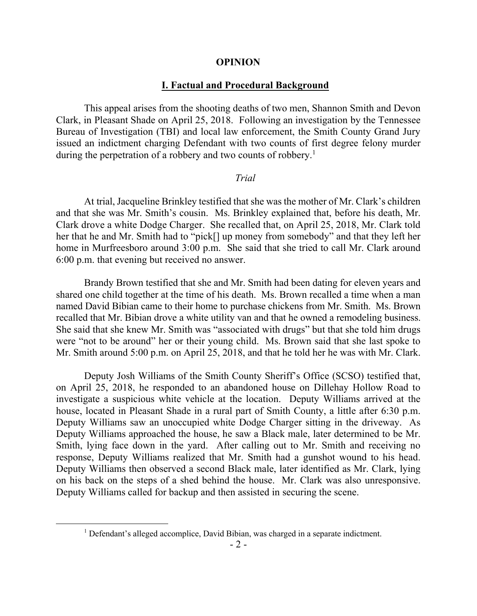#### **OPINION**

### **I. Factual and Procedural Background**

This appeal arises from the shooting deaths of two men, Shannon Smith and Devon Clark, in Pleasant Shade on April 25, 2018. Following an investigation by the Tennessee Bureau of Investigation (TBI) and local law enforcement, the Smith County Grand Jury issued an indictment charging Defendant with two counts of first degree felony murder during the perpetration of a robbery and two counts of robbery.<sup>1</sup>

#### *Trial*

At trial, Jacqueline Brinkley testified that she was the mother of Mr. Clark's children and that she was Mr. Smith's cousin. Ms. Brinkley explained that, before his death, Mr. Clark drove a white Dodge Charger. She recalled that, on April 25, 2018, Mr. Clark told her that he and Mr. Smith had to "pick[] up money from somebody" and that they left her home in Murfreesboro around 3:00 p.m. She said that she tried to call Mr. Clark around 6:00 p.m. that evening but received no answer.

Brandy Brown testified that she and Mr. Smith had been dating for eleven years and shared one child together at the time of his death. Ms. Brown recalled a time when a man named David Bibian came to their home to purchase chickens from Mr. Smith. Ms. Brown recalled that Mr. Bibian drove a white utility van and that he owned a remodeling business. She said that she knew Mr. Smith was "associated with drugs" but that she told him drugs were "not to be around" her or their young child. Ms. Brown said that she last spoke to Mr. Smith around 5:00 p.m. on April 25, 2018, and that he told her he was with Mr. Clark.

Deputy Josh Williams of the Smith County Sheriff's Office (SCSO) testified that, on April 25, 2018, he responded to an abandoned house on Dillehay Hollow Road to investigate a suspicious white vehicle at the location. Deputy Williams arrived at the house, located in Pleasant Shade in a rural part of Smith County, a little after 6:30 p.m. Deputy Williams saw an unoccupied white Dodge Charger sitting in the driveway. As Deputy Williams approached the house, he saw a Black male, later determined to be Mr. Smith, lying face down in the yard. After calling out to Mr. Smith and receiving no response, Deputy Williams realized that Mr. Smith had a gunshot wound to his head. Deputy Williams then observed a second Black male, later identified as Mr. Clark, lying on his back on the steps of a shed behind the house. Mr. Clark was also unresponsive. Deputy Williams called for backup and then assisted in securing the scene.

 $\overline{a}$ 

<sup>&</sup>lt;sup>1</sup> Defendant's alleged accomplice, David Bibian, was charged in a separate indictment.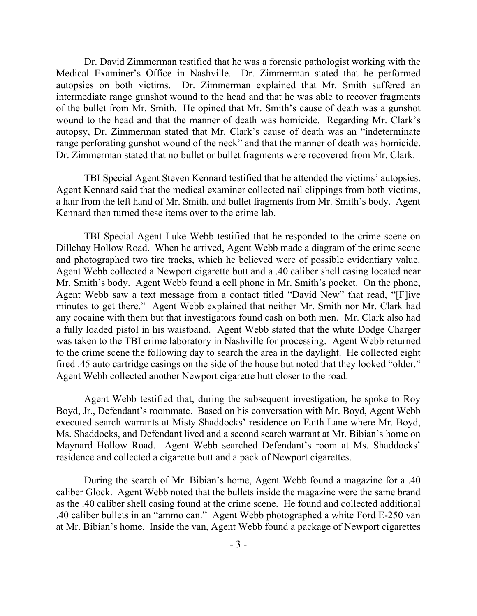Dr. David Zimmerman testified that he was a forensic pathologist working with the Medical Examiner's Office in Nashville. Dr. Zimmerman stated that he performed autopsies on both victims. Dr. Zimmerman explained that Mr. Smith suffered an intermediate range gunshot wound to the head and that he was able to recover fragments of the bullet from Mr. Smith. He opined that Mr. Smith's cause of death was a gunshot wound to the head and that the manner of death was homicide. Regarding Mr. Clark's autopsy, Dr. Zimmerman stated that Mr. Clark's cause of death was an "indeterminate range perforating gunshot wound of the neck" and that the manner of death was homicide. Dr. Zimmerman stated that no bullet or bullet fragments were recovered from Mr. Clark.

TBI Special Agent Steven Kennard testified that he attended the victims' autopsies. Agent Kennard said that the medical examiner collected nail clippings from both victims, a hair from the left hand of Mr. Smith, and bullet fragments from Mr. Smith's body. Agent Kennard then turned these items over to the crime lab.

TBI Special Agent Luke Webb testified that he responded to the crime scene on Dillehay Hollow Road. When he arrived, Agent Webb made a diagram of the crime scene and photographed two tire tracks, which he believed were of possible evidentiary value. Agent Webb collected a Newport cigarette butt and a .40 caliber shell casing located near Mr. Smith's body. Agent Webb found a cell phone in Mr. Smith's pocket. On the phone, Agent Webb saw a text message from a contact titled "David New" that read, "[F]ive minutes to get there." Agent Webb explained that neither Mr. Smith nor Mr. Clark had any cocaine with them but that investigators found cash on both men. Mr. Clark also had a fully loaded pistol in his waistband. Agent Webb stated that the white Dodge Charger was taken to the TBI crime laboratory in Nashville for processing. Agent Webb returned to the crime scene the following day to search the area in the daylight. He collected eight fired .45 auto cartridge casings on the side of the house but noted that they looked "older." Agent Webb collected another Newport cigarette butt closer to the road.

Agent Webb testified that, during the subsequent investigation, he spoke to Roy Boyd, Jr., Defendant's roommate. Based on his conversation with Mr. Boyd, Agent Webb executed search warrants at Misty Shaddocks' residence on Faith Lane where Mr. Boyd, Ms. Shaddocks, and Defendant lived and a second search warrant at Mr. Bibian's home on Maynard Hollow Road. Agent Webb searched Defendant's room at Ms. Shaddocks' residence and collected a cigarette butt and a pack of Newport cigarettes.

During the search of Mr. Bibian's home, Agent Webb found a magazine for a .40 caliber Glock. Agent Webb noted that the bullets inside the magazine were the same brand as the .40 caliber shell casing found at the crime scene. He found and collected additional .40 caliber bullets in an "ammo can." Agent Webb photographed a white Ford E-250 van at Mr. Bibian's home. Inside the van, Agent Webb found a package of Newport cigarettes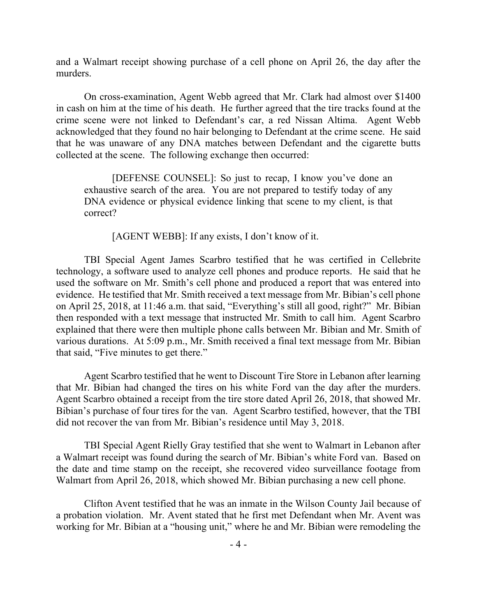and a Walmart receipt showing purchase of a cell phone on April 26, the day after the murders.

On cross-examination, Agent Webb agreed that Mr. Clark had almost over \$1400 in cash on him at the time of his death. He further agreed that the tire tracks found at the crime scene were not linked to Defendant's car, a red Nissan Altima. Agent Webb acknowledged that they found no hair belonging to Defendant at the crime scene. He said that he was unaware of any DNA matches between Defendant and the cigarette butts collected at the scene. The following exchange then occurred:

[DEFENSE COUNSEL]: So just to recap, I know you've done an exhaustive search of the area. You are not prepared to testify today of any DNA evidence or physical evidence linking that scene to my client, is that correct?

[AGENT WEBB]: If any exists, I don't know of it.

TBI Special Agent James Scarbro testified that he was certified in Cellebrite technology, a software used to analyze cell phones and produce reports. He said that he used the software on Mr. Smith's cell phone and produced a report that was entered into evidence. He testified that Mr. Smith received a text message from Mr. Bibian's cell phone on April 25, 2018, at 11:46 a.m. that said, "Everything's still all good, right?" Mr. Bibian then responded with a text message that instructed Mr. Smith to call him. Agent Scarbro explained that there were then multiple phone calls between Mr. Bibian and Mr. Smith of various durations. At 5:09 p.m., Mr. Smith received a final text message from Mr. Bibian that said, "Five minutes to get there."

Agent Scarbro testified that he went to Discount Tire Store in Lebanon after learning that Mr. Bibian had changed the tires on his white Ford van the day after the murders. Agent Scarbro obtained a receipt from the tire store dated April 26, 2018, that showed Mr. Bibian's purchase of four tires for the van. Agent Scarbro testified, however, that the TBI did not recover the van from Mr. Bibian's residence until May 3, 2018.

TBI Special Agent Rielly Gray testified that she went to Walmart in Lebanon after a Walmart receipt was found during the search of Mr. Bibian's white Ford van. Based on the date and time stamp on the receipt, she recovered video surveillance footage from Walmart from April 26, 2018, which showed Mr. Bibian purchasing a new cell phone.

Clifton Avent testified that he was an inmate in the Wilson County Jail because of a probation violation. Mr. Avent stated that he first met Defendant when Mr. Avent was working for Mr. Bibian at a "housing unit," where he and Mr. Bibian were remodeling the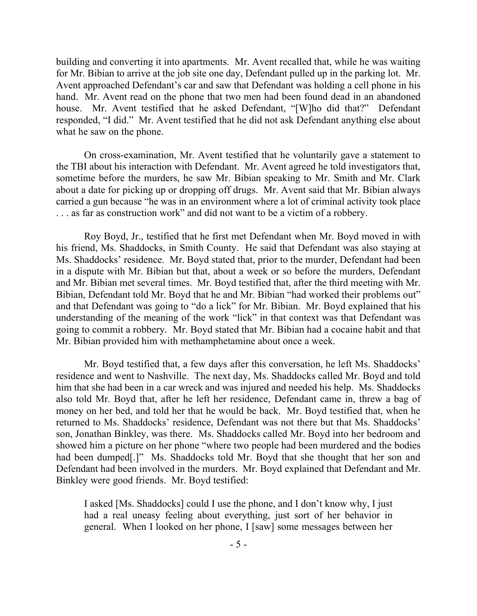building and converting it into apartments. Mr. Avent recalled that, while he was waiting for Mr. Bibian to arrive at the job site one day, Defendant pulled up in the parking lot. Mr. Avent approached Defendant's car and saw that Defendant was holding a cell phone in his hand. Mr. Avent read on the phone that two men had been found dead in an abandoned house. Mr. Avent testified that he asked Defendant, "[W]ho did that?" Defendant responded, "I did." Mr. Avent testified that he did not ask Defendant anything else about what he saw on the phone.

On cross-examination, Mr. Avent testified that he voluntarily gave a statement to the TBI about his interaction with Defendant. Mr. Avent agreed he told investigators that, sometime before the murders, he saw Mr. Bibian speaking to Mr. Smith and Mr. Clark about a date for picking up or dropping off drugs. Mr. Avent said that Mr. Bibian always carried a gun because "he was in an environment where a lot of criminal activity took place . . . as far as construction work" and did not want to be a victim of a robbery.

Roy Boyd, Jr., testified that he first met Defendant when Mr. Boyd moved in with his friend, Ms. Shaddocks, in Smith County. He said that Defendant was also staying at Ms. Shaddocks' residence. Mr. Boyd stated that, prior to the murder, Defendant had been in a dispute with Mr. Bibian but that, about a week or so before the murders, Defendant and Mr. Bibian met several times. Mr. Boyd testified that, after the third meeting with Mr. Bibian, Defendant told Mr. Boyd that he and Mr. Bibian "had worked their problems out" and that Defendant was going to "do a lick" for Mr. Bibian. Mr. Boyd explained that his understanding of the meaning of the work "lick" in that context was that Defendant was going to commit a robbery. Mr. Boyd stated that Mr. Bibian had a cocaine habit and that Mr. Bibian provided him with methamphetamine about once a week.

Mr. Boyd testified that, a few days after this conversation, he left Ms. Shaddocks' residence and went to Nashville. The next day, Ms. Shaddocks called Mr. Boyd and told him that she had been in a car wreck and was injured and needed his help. Ms. Shaddocks also told Mr. Boyd that, after he left her residence, Defendant came in, threw a bag of money on her bed, and told her that he would be back. Mr. Boyd testified that, when he returned to Ms. Shaddocks' residence, Defendant was not there but that Ms. Shaddocks' son, Jonathan Binkley, was there. Ms. Shaddocks called Mr. Boyd into her bedroom and showed him a picture on her phone "where two people had been murdered and the bodies had been dumped[.]" Ms. Shaddocks told Mr. Boyd that she thought that her son and Defendant had been involved in the murders. Mr. Boyd explained that Defendant and Mr. Binkley were good friends. Mr. Boyd testified:

I asked [Ms. Shaddocks] could I use the phone, and I don't know why, I just had a real uneasy feeling about everything, just sort of her behavior in general. When I looked on her phone, I [saw] some messages between her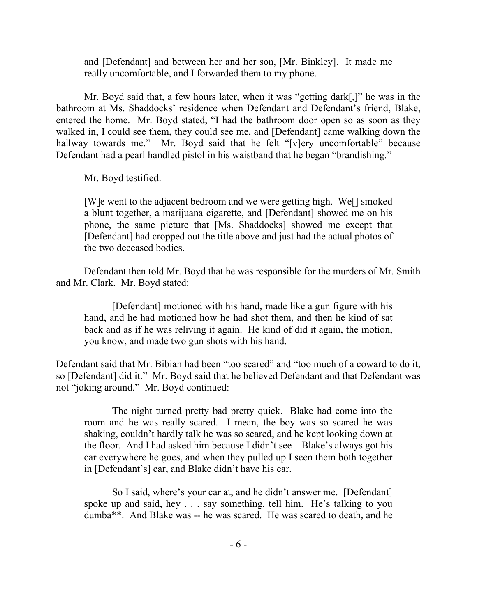and [Defendant] and between her and her son, [Mr. Binkley]. It made me really uncomfortable, and I forwarded them to my phone.

Mr. Boyd said that, a few hours later, when it was "getting dark[,]" he was in the bathroom at Ms. Shaddocks' residence when Defendant and Defendant's friend, Blake, entered the home. Mr. Boyd stated, "I had the bathroom door open so as soon as they walked in, I could see them, they could see me, and [Defendant] came walking down the hallway towards me." Mr. Boyd said that he felt "[v]ery uncomfortable" because Defendant had a pearl handled pistol in his waistband that he began "brandishing."

Mr. Boyd testified:

[W]e went to the adjacent bedroom and we were getting high. We[] smoked a blunt together, a marijuana cigarette, and [Defendant] showed me on his phone, the same picture that [Ms. Shaddocks] showed me except that [Defendant] had cropped out the title above and just had the actual photos of the two deceased bodies.

Defendant then told Mr. Boyd that he was responsible for the murders of Mr. Smith and Mr. Clark. Mr. Boyd stated:

[Defendant] motioned with his hand, made like a gun figure with his hand, and he had motioned how he had shot them, and then he kind of sat back and as if he was reliving it again. He kind of did it again, the motion, you know, and made two gun shots with his hand.

Defendant said that Mr. Bibian had been "too scared" and "too much of a coward to do it, so [Defendant] did it." Mr. Boyd said that he believed Defendant and that Defendant was not "joking around." Mr. Boyd continued:

The night turned pretty bad pretty quick. Blake had come into the room and he was really scared. I mean, the boy was so scared he was shaking, couldn't hardly talk he was so scared, and he kept looking down at the floor. And I had asked him because I didn't see – Blake's always got his car everywhere he goes, and when they pulled up I seen them both together in [Defendant's] car, and Blake didn't have his car.

So I said, where's your car at, and he didn't answer me. [Defendant] spoke up and said, hey . . . say something, tell him. He's talking to you dumba\*\*. And Blake was -- he was scared. He was scared to death, and he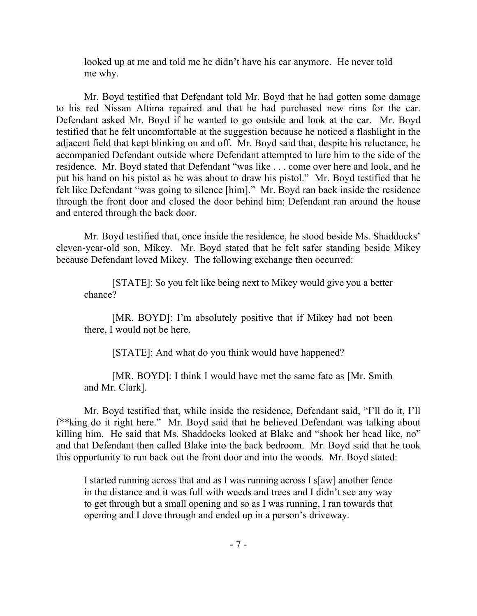looked up at me and told me he didn't have his car anymore. He never told me why.

Mr. Boyd testified that Defendant told Mr. Boyd that he had gotten some damage to his red Nissan Altima repaired and that he had purchased new rims for the car. Defendant asked Mr. Boyd if he wanted to go outside and look at the car. Mr. Boyd testified that he felt uncomfortable at the suggestion because he noticed a flashlight in the adjacent field that kept blinking on and off. Mr. Boyd said that, despite his reluctance, he accompanied Defendant outside where Defendant attempted to lure him to the side of the residence. Mr. Boyd stated that Defendant "was like . . . come over here and look, and he put his hand on his pistol as he was about to draw his pistol." Mr. Boyd testified that he felt like Defendant "was going to silence [him]." Mr. Boyd ran back inside the residence through the front door and closed the door behind him; Defendant ran around the house and entered through the back door.

Mr. Boyd testified that, once inside the residence, he stood beside Ms. Shaddocks' eleven-year-old son, Mikey. Mr. Boyd stated that he felt safer standing beside Mikey because Defendant loved Mikey. The following exchange then occurred:

[STATE]: So you felt like being next to Mikey would give you a better chance?

[MR. BOYD]: I'm absolutely positive that if Mikey had not been there, I would not be here.

[STATE]: And what do you think would have happened?

[MR. BOYD]: I think I would have met the same fate as [Mr. Smith and Mr. Clark].

Mr. Boyd testified that, while inside the residence, Defendant said, "I'll do it, I'll f\*\*king do it right here." Mr. Boyd said that he believed Defendant was talking about killing him. He said that Ms. Shaddocks looked at Blake and "shook her head like, no" and that Defendant then called Blake into the back bedroom. Mr. Boyd said that he took this opportunity to run back out the front door and into the woods. Mr. Boyd stated:

I started running across that and as I was running across I s[aw] another fence in the distance and it was full with weeds and trees and I didn't see any way to get through but a small opening and so as I was running, I ran towards that opening and I dove through and ended up in a person's driveway.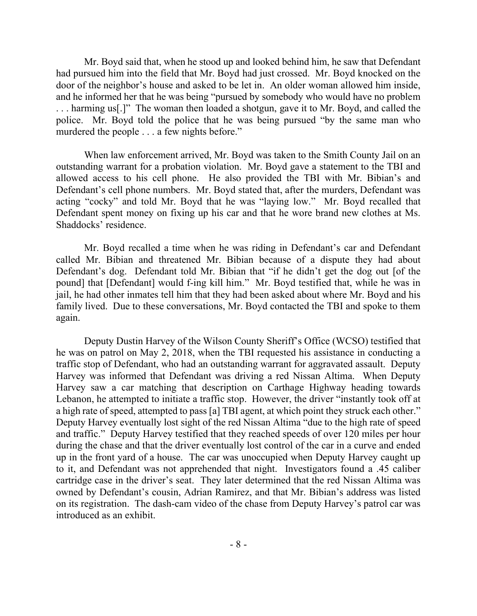Mr. Boyd said that, when he stood up and looked behind him, he saw that Defendant had pursued him into the field that Mr. Boyd had just crossed. Mr. Boyd knocked on the door of the neighbor's house and asked to be let in. An older woman allowed him inside, and he informed her that he was being "pursued by somebody who would have no problem . . . harming us[.]" The woman then loaded a shotgun, gave it to Mr. Boyd, and called the police. Mr. Boyd told the police that he was being pursued "by the same man who murdered the people . . . a few nights before."

When law enforcement arrived, Mr. Boyd was taken to the Smith County Jail on an outstanding warrant for a probation violation. Mr. Boyd gave a statement to the TBI and allowed access to his cell phone. He also provided the TBI with Mr. Bibian's and Defendant's cell phone numbers. Mr. Boyd stated that, after the murders, Defendant was acting "cocky" and told Mr. Boyd that he was "laying low." Mr. Boyd recalled that Defendant spent money on fixing up his car and that he wore brand new clothes at Ms. Shaddocks' residence.

Mr. Boyd recalled a time when he was riding in Defendant's car and Defendant called Mr. Bibian and threatened Mr. Bibian because of a dispute they had about Defendant's dog. Defendant told Mr. Bibian that "if he didn't get the dog out [of the pound] that [Defendant] would f-ing kill him." Mr. Boyd testified that, while he was in jail, he had other inmates tell him that they had been asked about where Mr. Boyd and his family lived. Due to these conversations, Mr. Boyd contacted the TBI and spoke to them again.

Deputy Dustin Harvey of the Wilson County Sheriff's Office (WCSO) testified that he was on patrol on May 2, 2018, when the TBI requested his assistance in conducting a traffic stop of Defendant, who had an outstanding warrant for aggravated assault. Deputy Harvey was informed that Defendant was driving a red Nissan Altima. When Deputy Harvey saw a car matching that description on Carthage Highway heading towards Lebanon, he attempted to initiate a traffic stop. However, the driver "instantly took off at a high rate of speed, attempted to pass [a] TBI agent, at which point they struck each other." Deputy Harvey eventually lost sight of the red Nissan Altima "due to the high rate of speed and traffic." Deputy Harvey testified that they reached speeds of over 120 miles per hour during the chase and that the driver eventually lost control of the car in a curve and ended up in the front yard of a house. The car was unoccupied when Deputy Harvey caught up to it, and Defendant was not apprehended that night. Investigators found a .45 caliber cartridge case in the driver's seat. They later determined that the red Nissan Altima was owned by Defendant's cousin, Adrian Ramirez, and that Mr. Bibian's address was listed on its registration. The dash-cam video of the chase from Deputy Harvey's patrol car was introduced as an exhibit.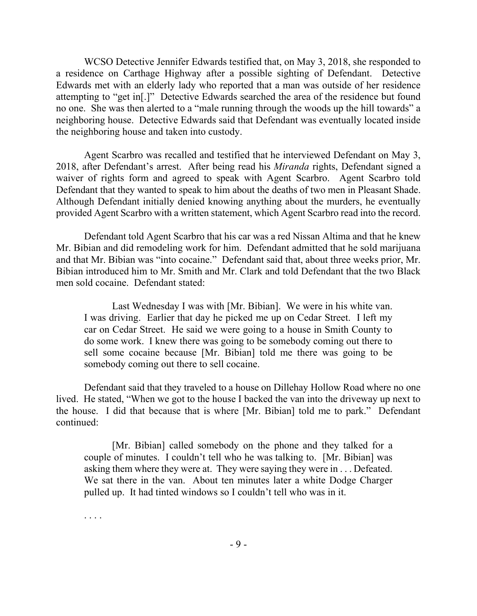WCSO Detective Jennifer Edwards testified that, on May 3, 2018, she responded to a residence on Carthage Highway after a possible sighting of Defendant. Detective Edwards met with an elderly lady who reported that a man was outside of her residence attempting to "get in[.]" Detective Edwards searched the area of the residence but found no one. She was then alerted to a "male running through the woods up the hill towards" a neighboring house. Detective Edwards said that Defendant was eventually located inside the neighboring house and taken into custody.

Agent Scarbro was recalled and testified that he interviewed Defendant on May 3, 2018, after Defendant's arrest. After being read his *Miranda* rights, Defendant signed a waiver of rights form and agreed to speak with Agent Scarbro. Agent Scarbro told Defendant that they wanted to speak to him about the deaths of two men in Pleasant Shade. Although Defendant initially denied knowing anything about the murders, he eventually provided Agent Scarbro with a written statement, which Agent Scarbro read into the record.

Defendant told Agent Scarbro that his car was a red Nissan Altima and that he knew Mr. Bibian and did remodeling work for him. Defendant admitted that he sold marijuana and that Mr. Bibian was "into cocaine." Defendant said that, about three weeks prior, Mr. Bibian introduced him to Mr. Smith and Mr. Clark and told Defendant that the two Black men sold cocaine. Defendant stated:

Last Wednesday I was with [Mr. Bibian]. We were in his white van. I was driving. Earlier that day he picked me up on Cedar Street. I left my car on Cedar Street. He said we were going to a house in Smith County to do some work. I knew there was going to be somebody coming out there to sell some cocaine because [Mr. Bibian] told me there was going to be somebody coming out there to sell cocaine.

Defendant said that they traveled to a house on Dillehay Hollow Road where no one lived. He stated, "When we got to the house I backed the van into the driveway up next to the house. I did that because that is where [Mr. Bibian] told me to park." Defendant continued:

[Mr. Bibian] called somebody on the phone and they talked for a couple of minutes. I couldn't tell who he was talking to. [Mr. Bibian] was asking them where they were at. They were saying they were in . . . Defeated. We sat there in the van. About ten minutes later a white Dodge Charger pulled up. It had tinted windows so I couldn't tell who was in it.

. . . .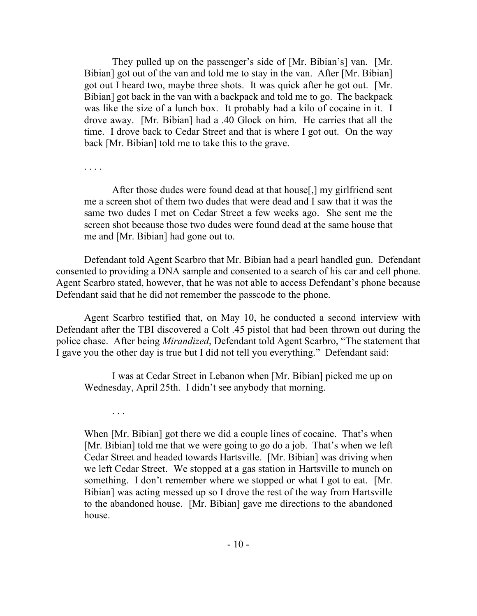They pulled up on the passenger's side of [Mr. Bibian's] van. [Mr. Bibian] got out of the van and told me to stay in the van. After [Mr. Bibian] got out I heard two, maybe three shots. It was quick after he got out. [Mr. Bibian] got back in the van with a backpack and told me to go. The backpack was like the size of a lunch box. It probably had a kilo of cocaine in it. I drove away. [Mr. Bibian] had a .40 Glock on him. He carries that all the time. I drove back to Cedar Street and that is where I got out. On the way back [Mr. Bibian] told me to take this to the grave.

. . . .

After those dudes were found dead at that house[,] my girlfriend sent me a screen shot of them two dudes that were dead and I saw that it was the same two dudes I met on Cedar Street a few weeks ago. She sent me the screen shot because those two dudes were found dead at the same house that me and [Mr. Bibian] had gone out to.

Defendant told Agent Scarbro that Mr. Bibian had a pearl handled gun. Defendant consented to providing a DNA sample and consented to a search of his car and cell phone. Agent Scarbro stated, however, that he was not able to access Defendant's phone because Defendant said that he did not remember the passcode to the phone.

Agent Scarbro testified that, on May 10, he conducted a second interview with Defendant after the TBI discovered a Colt .45 pistol that had been thrown out during the police chase. After being *Mirandized*, Defendant told Agent Scarbro, "The statement that I gave you the other day is true but I did not tell you everything." Defendant said:

I was at Cedar Street in Lebanon when [Mr. Bibian] picked me up on Wednesday, April 25th. I didn't see anybody that morning.

. . .

When [Mr. Bibian] got there we did a couple lines of cocaine. That's when [Mr. Bibian] told me that we were going to go do a job. That's when we left Cedar Street and headed towards Hartsville. [Mr. Bibian] was driving when we left Cedar Street. We stopped at a gas station in Hartsville to munch on something. I don't remember where we stopped or what I got to eat. [Mr. Bibian] was acting messed up so I drove the rest of the way from Hartsville to the abandoned house. [Mr. Bibian] gave me directions to the abandoned house.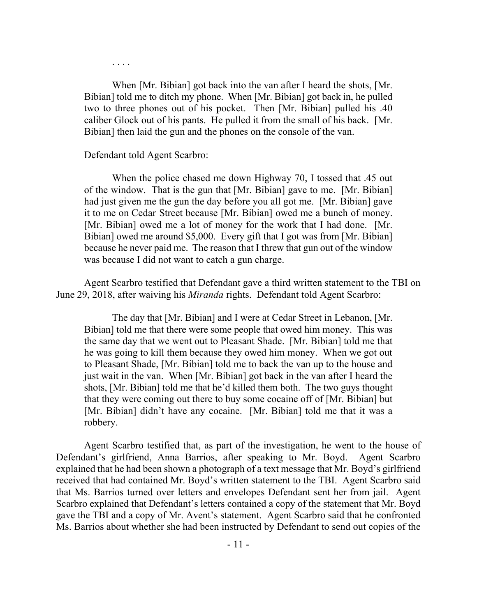. . . .

When [Mr. Bibian] got back into the van after I heard the shots, [Mr. Bibian] told me to ditch my phone. When [Mr. Bibian] got back in, he pulled two to three phones out of his pocket. Then [Mr. Bibian] pulled his .40 caliber Glock out of his pants. He pulled it from the small of his back. [Mr. Bibian] then laid the gun and the phones on the console of the van.

### Defendant told Agent Scarbro:

When the police chased me down Highway 70, I tossed that .45 out of the window. That is the gun that [Mr. Bibian] gave to me. [Mr. Bibian] had just given me the gun the day before you all got me. [Mr. Bibian] gave it to me on Cedar Street because [Mr. Bibian] owed me a bunch of money. [Mr. Bibian] owed me a lot of money for the work that I had done. [Mr. Bibian] owed me around \$5,000. Every gift that I got was from [Mr. Bibian] because he never paid me. The reason that I threw that gun out of the window was because I did not want to catch a gun charge.

Agent Scarbro testified that Defendant gave a third written statement to the TBI on June 29, 2018, after waiving his *Miranda* rights. Defendant told Agent Scarbro:

The day that [Mr. Bibian] and I were at Cedar Street in Lebanon, [Mr. Bibian] told me that there were some people that owed him money. This was the same day that we went out to Pleasant Shade. [Mr. Bibian] told me that he was going to kill them because they owed him money. When we got out to Pleasant Shade, [Mr. Bibian] told me to back the van up to the house and just wait in the van. When [Mr. Bibian] got back in the van after I heard the shots, [Mr. Bibian] told me that he'd killed them both. The two guys thought that they were coming out there to buy some cocaine off of [Mr. Bibian] but [Mr. Bibian] didn't have any cocaine. [Mr. Bibian] told me that it was a robbery.

Agent Scarbro testified that, as part of the investigation, he went to the house of Defendant's girlfriend, Anna Barrios, after speaking to Mr. Boyd. Agent Scarbro explained that he had been shown a photograph of a text message that Mr. Boyd's girlfriend received that had contained Mr. Boyd's written statement to the TBI. Agent Scarbro said that Ms. Barrios turned over letters and envelopes Defendant sent her from jail. Agent Scarbro explained that Defendant's letters contained a copy of the statement that Mr. Boyd gave the TBI and a copy of Mr. Avent's statement. Agent Scarbro said that he confronted Ms. Barrios about whether she had been instructed by Defendant to send out copies of the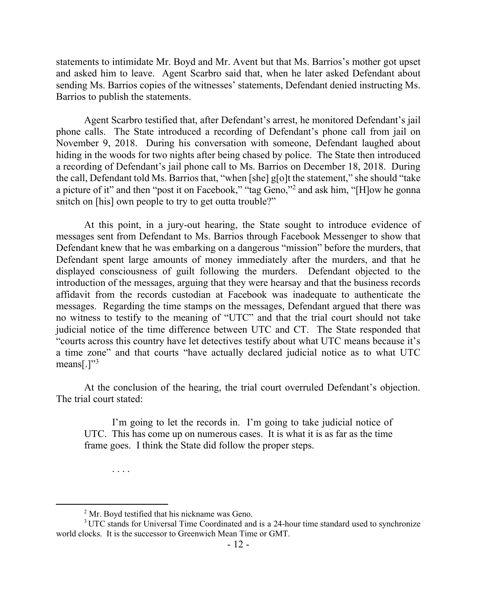statements to intimidate Mr. Boyd and Mr. Avent but that Ms. Barrios's mother got upset and asked him to leave. Agent Scarbro said that, when he later asked Defendant about sending Ms. Barrios copies of the witnesses' statements, Defendant denied instructing Ms. Barrios to publish the statements.

Agent Scarbro testified that, after Defendant's arrest, he monitored Defendant's jail phone calls. The State introduced a recording of Defendant's phone call from jail on November 9, 2018. During his conversation with someone, Defendant laughed about hiding in the woods for two nights after being chased by police. The State then introduced a recording of Defendant's jail phone call to Ms. Barrios on December 18, 2018. During the call, Defendant told Ms. Barrios that, "when [she] g[o]t the statement," she should "take a picture of it" and then "post it on Facebook," "tag Geno,"<sup>2</sup> and ask him, "[H]ow he gonna snitch on [his] own people to try to get outta trouble?"

At this point, in a jury-out hearing, the State sought to introduce evidence of messages sent from Defendant to Ms. Barrios through Facebook Messenger to show that Defendant knew that he was embarking on a dangerous "mission" before the murders, that Defendant spent large amounts of money immediately after the murders, and that he displayed consciousness of guilt following the murders. Defendant objected to the introduction of the messages, arguing that they were hearsay and that the business records affidavit from the records custodian at Facebook was inadequate to authenticate the messages. Regarding the time stamps on the messages, Defendant argued that there was no witness to testify to the meaning of "UTC" and that the trial court should not take judicial notice of the time difference between UTC and CT. The State responded that "courts across this country have let detectives testify about what UTC means because it's a time zone" and that courts "have actually declared judicial notice as to what UTC means[.] $"3$ 

At the conclusion of the hearing, the trial court overruled Defendant's objection. The trial court stated:

I'm going to let the records in. I'm going to take judicial notice of UTC. This has come up on numerous cases. It is what it is as far as the time frame goes. I think the State did follow the proper steps.

. . . .

 $\overline{a}$ 

<sup>&</sup>lt;sup>2</sup> Mr. Boyd testified that his nickname was Geno.

 $3$  UTC stands for Universal Time Coordinated and is a 24-hour time standard used to synchronize world clocks. It is the successor to Greenwich Mean Time or GMT.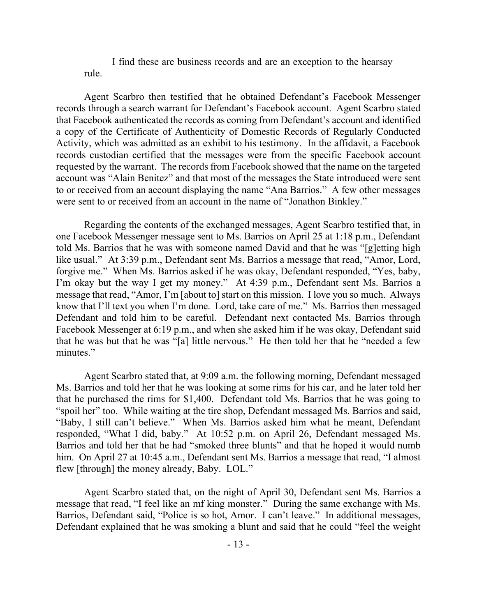I find these are business records and are an exception to the hearsay rule.

Agent Scarbro then testified that he obtained Defendant's Facebook Messenger records through a search warrant for Defendant's Facebook account. Agent Scarbro stated that Facebook authenticated the records as coming from Defendant's account and identified a copy of the Certificate of Authenticity of Domestic Records of Regularly Conducted Activity, which was admitted as an exhibit to his testimony. In the affidavit, a Facebook records custodian certified that the messages were from the specific Facebook account requested by the warrant. The records from Facebook showed that the name on the targeted account was "Alain Benitez" and that most of the messages the State introduced were sent to or received from an account displaying the name "Ana Barrios." A few other messages were sent to or received from an account in the name of "Jonathon Binkley."

Regarding the contents of the exchanged messages, Agent Scarbro testified that, in one Facebook Messenger message sent to Ms. Barrios on April 25 at 1:18 p.m., Defendant told Ms. Barrios that he was with someone named David and that he was "[g]etting high like usual." At 3:39 p.m., Defendant sent Ms. Barrios a message that read, "Amor, Lord, forgive me." When Ms. Barrios asked if he was okay, Defendant responded, "Yes, baby, I'm okay but the way I get my money." At 4:39 p.m., Defendant sent Ms. Barrios a message that read, "Amor, I'm [about to] start on this mission. I love you so much. Always know that I'll text you when I'm done. Lord, take care of me." Ms. Barrios then messaged Defendant and told him to be careful. Defendant next contacted Ms. Barrios through Facebook Messenger at 6:19 p.m., and when she asked him if he was okay, Defendant said that he was but that he was "[a] little nervous." He then told her that he "needed a few minutes."

Agent Scarbro stated that, at 9:09 a.m. the following morning, Defendant messaged Ms. Barrios and told her that he was looking at some rims for his car, and he later told her that he purchased the rims for \$1,400. Defendant told Ms. Barrios that he was going to "spoil her" too. While waiting at the tire shop, Defendant messaged Ms. Barrios and said, "Baby, I still can't believe." When Ms. Barrios asked him what he meant, Defendant responded, "What I did, baby." At 10:52 p.m. on April 26, Defendant messaged Ms. Barrios and told her that he had "smoked three blunts" and that he hoped it would numb him. On April 27 at 10:45 a.m., Defendant sent Ms. Barrios a message that read, "I almost flew [through] the money already, Baby. LOL."

Agent Scarbro stated that, on the night of April 30, Defendant sent Ms. Barrios a message that read, "I feel like an mf king monster." During the same exchange with Ms. Barrios, Defendant said, "Police is so hot, Amor. I can't leave." In additional messages, Defendant explained that he was smoking a blunt and said that he could "feel the weight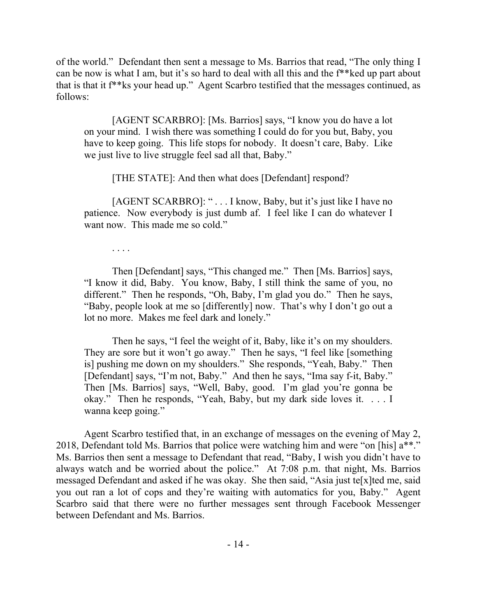of the world." Defendant then sent a message to Ms. Barrios that read, "The only thing I can be now is what I am, but it's so hard to deal with all this and the f\*\*ked up part about that is that it f\*\*ks your head up." Agent Scarbro testified that the messages continued, as follows:

[AGENT SCARBRO]: [Ms. Barrios] says, "I know you do have a lot on your mind. I wish there was something I could do for you but, Baby, you have to keep going. This life stops for nobody. It doesn't care, Baby. Like we just live to live struggle feel sad all that, Baby."

[THE STATE]: And then what does [Defendant] respond?

[AGENT SCARBRO]: "... I know, Baby, but it's just like I have no patience. Now everybody is just dumb af. I feel like I can do whatever I want now. This made me so cold."

. . . .

Then [Defendant] says, "This changed me." Then [Ms. Barrios] says, "I know it did, Baby. You know, Baby, I still think the same of you, no different." Then he responds, "Oh, Baby, I'm glad you do." Then he says, "Baby, people look at me so [differently] now. That's why I don't go out a lot no more. Makes me feel dark and lonely."

Then he says, "I feel the weight of it, Baby, like it's on my shoulders. They are sore but it won't go away." Then he says, "I feel like [something is] pushing me down on my shoulders." She responds, "Yeah, Baby." Then [Defendant] says, "I'm not, Baby." And then he says, "Ima say f-it, Baby." Then [Ms. Barrios] says, "Well, Baby, good. I'm glad you're gonna be okay." Then he responds, "Yeah, Baby, but my dark side loves it. . . . I wanna keep going."

Agent Scarbro testified that, in an exchange of messages on the evening of May 2, 2018, Defendant told Ms. Barrios that police were watching him and were "on [his]  $a^{**}$ ." Ms. Barrios then sent a message to Defendant that read, "Baby, I wish you didn't have to always watch and be worried about the police." At 7:08 p.m. that night, Ms. Barrios messaged Defendant and asked if he was okay. She then said, "Asia just te[x]ted me, said you out ran a lot of cops and they're waiting with automatics for you, Baby." Agent Scarbro said that there were no further messages sent through Facebook Messenger between Defendant and Ms. Barrios.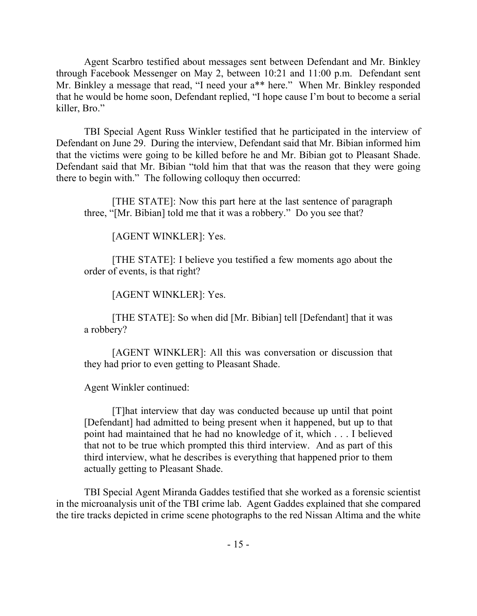Agent Scarbro testified about messages sent between Defendant and Mr. Binkley through Facebook Messenger on May 2, between 10:21 and 11:00 p.m. Defendant sent Mr. Binkley a message that read, "I need your a\*\* here." When Mr. Binkley responded that he would be home soon, Defendant replied, "I hope cause I'm bout to become a serial killer, Bro."

TBI Special Agent Russ Winkler testified that he participated in the interview of Defendant on June 29. During the interview, Defendant said that Mr. Bibian informed him that the victims were going to be killed before he and Mr. Bibian got to Pleasant Shade. Defendant said that Mr. Bibian "told him that that was the reason that they were going there to begin with." The following colloquy then occurred:

[THE STATE]: Now this part here at the last sentence of paragraph three, "[Mr. Bibian] told me that it was a robbery." Do you see that?

[AGENT WINKLER]: Yes.

[THE STATE]: I believe you testified a few moments ago about the order of events, is that right?

[AGENT WINKLER]: Yes.

[THE STATE]: So when did [Mr. Bibian] tell [Defendant] that it was a robbery?

[AGENT WINKLER]: All this was conversation or discussion that they had prior to even getting to Pleasant Shade.

Agent Winkler continued:

[T]hat interview that day was conducted because up until that point [Defendant] had admitted to being present when it happened, but up to that point had maintained that he had no knowledge of it, which . . . I believed that not to be true which prompted this third interview. And as part of this third interview, what he describes is everything that happened prior to them actually getting to Pleasant Shade.

TBI Special Agent Miranda Gaddes testified that she worked as a forensic scientist in the microanalysis unit of the TBI crime lab. Agent Gaddes explained that she compared the tire tracks depicted in crime scene photographs to the red Nissan Altima and the white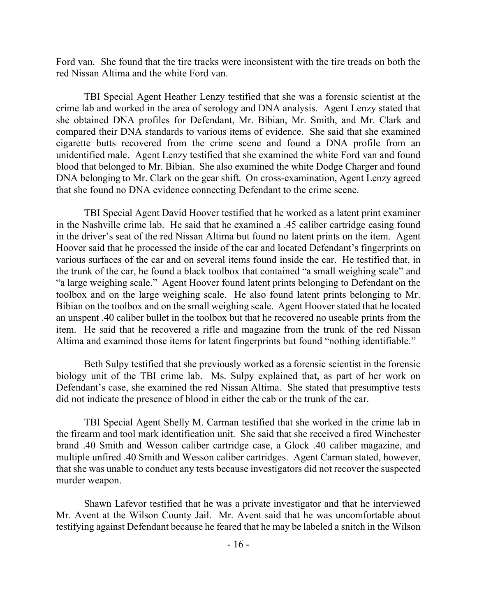Ford van. She found that the tire tracks were inconsistent with the tire treads on both the red Nissan Altima and the white Ford van.

TBI Special Agent Heather Lenzy testified that she was a forensic scientist at the crime lab and worked in the area of serology and DNA analysis. Agent Lenzy stated that she obtained DNA profiles for Defendant, Mr. Bibian, Mr. Smith, and Mr. Clark and compared their DNA standards to various items of evidence. She said that she examined cigarette butts recovered from the crime scene and found a DNA profile from an unidentified male. Agent Lenzy testified that she examined the white Ford van and found blood that belonged to Mr. Bibian. She also examined the white Dodge Charger and found DNA belonging to Mr. Clark on the gear shift. On cross-examination, Agent Lenzy agreed that she found no DNA evidence connecting Defendant to the crime scene.

TBI Special Agent David Hoover testified that he worked as a latent print examiner in the Nashville crime lab. He said that he examined a .45 caliber cartridge casing found in the driver's seat of the red Nissan Altima but found no latent prints on the item. Agent Hoover said that he processed the inside of the car and located Defendant's fingerprints on various surfaces of the car and on several items found inside the car. He testified that, in the trunk of the car, he found a black toolbox that contained "a small weighing scale" and "a large weighing scale." Agent Hoover found latent prints belonging to Defendant on the toolbox and on the large weighing scale. He also found latent prints belonging to Mr. Bibian on the toolbox and on the small weighing scale. Agent Hoover stated that he located an unspent .40 caliber bullet in the toolbox but that he recovered no useable prints from the item. He said that he recovered a rifle and magazine from the trunk of the red Nissan Altima and examined those items for latent fingerprints but found "nothing identifiable."

Beth Sulpy testified that she previously worked as a forensic scientist in the forensic biology unit of the TBI crime lab. Ms. Sulpy explained that, as part of her work on Defendant's case, she examined the red Nissan Altima. She stated that presumptive tests did not indicate the presence of blood in either the cab or the trunk of the car.

TBI Special Agent Shelly M. Carman testified that she worked in the crime lab in the firearm and tool mark identification unit. She said that she received a fired Winchester brand .40 Smith and Wesson caliber cartridge case, a Glock .40 caliber magazine, and multiple unfired .40 Smith and Wesson caliber cartridges. Agent Carman stated, however, that she was unable to conduct any tests because investigators did not recover the suspected murder weapon.

Shawn Lafevor testified that he was a private investigator and that he interviewed Mr. Avent at the Wilson County Jail. Mr. Avent said that he was uncomfortable about testifying against Defendant because he feared that he may be labeled a snitch in the Wilson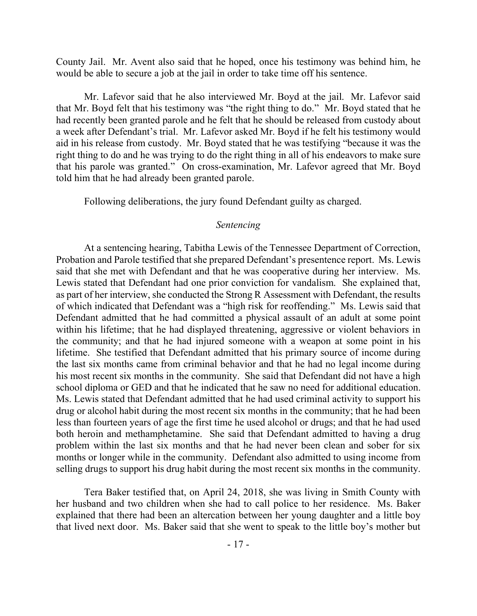County Jail. Mr. Avent also said that he hoped, once his testimony was behind him, he would be able to secure a job at the jail in order to take time off his sentence.

Mr. Lafevor said that he also interviewed Mr. Boyd at the jail. Mr. Lafevor said that Mr. Boyd felt that his testimony was "the right thing to do." Mr. Boyd stated that he had recently been granted parole and he felt that he should be released from custody about a week after Defendant's trial. Mr. Lafevor asked Mr. Boyd if he felt his testimony would aid in his release from custody. Mr. Boyd stated that he was testifying "because it was the right thing to do and he was trying to do the right thing in all of his endeavors to make sure that his parole was granted." On cross-examination, Mr. Lafevor agreed that Mr. Boyd told him that he had already been granted parole.

Following deliberations, the jury found Defendant guilty as charged.

### *Sentencing*

At a sentencing hearing, Tabitha Lewis of the Tennessee Department of Correction, Probation and Parole testified that she prepared Defendant's presentence report. Ms. Lewis said that she met with Defendant and that he was cooperative during her interview. Ms. Lewis stated that Defendant had one prior conviction for vandalism. She explained that, as part of her interview, she conducted the Strong R Assessment with Defendant, the results of which indicated that Defendant was a "high risk for reoffending." Ms. Lewis said that Defendant admitted that he had committed a physical assault of an adult at some point within his lifetime; that he had displayed threatening, aggressive or violent behaviors in the community; and that he had injured someone with a weapon at some point in his lifetime. She testified that Defendant admitted that his primary source of income during the last six months came from criminal behavior and that he had no legal income during his most recent six months in the community. She said that Defendant did not have a high school diploma or GED and that he indicated that he saw no need for additional education. Ms. Lewis stated that Defendant admitted that he had used criminal activity to support his drug or alcohol habit during the most recent six months in the community; that he had been less than fourteen years of age the first time he used alcohol or drugs; and that he had used both heroin and methamphetamine. She said that Defendant admitted to having a drug problem within the last six months and that he had never been clean and sober for six months or longer while in the community. Defendant also admitted to using income from selling drugs to support his drug habit during the most recent six months in the community.

Tera Baker testified that, on April 24, 2018, she was living in Smith County with her husband and two children when she had to call police to her residence. Ms. Baker explained that there had been an altercation between her young daughter and a little boy that lived next door. Ms. Baker said that she went to speak to the little boy's mother but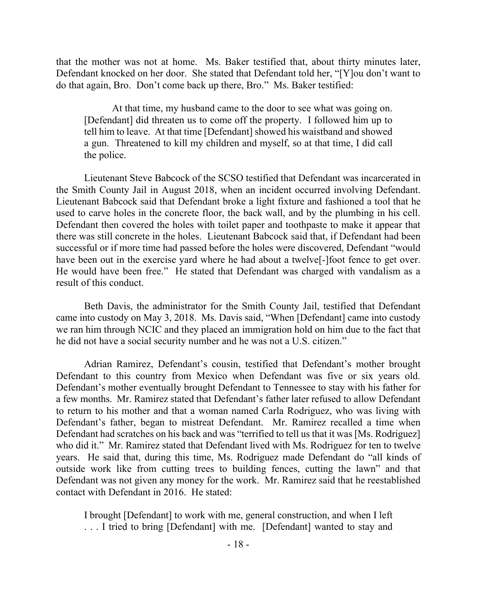that the mother was not at home. Ms. Baker testified that, about thirty minutes later, Defendant knocked on her door. She stated that Defendant told her, "[Y]ou don't want to do that again, Bro. Don't come back up there, Bro." Ms. Baker testified:

At that time, my husband came to the door to see what was going on. [Defendant] did threaten us to come off the property. I followed him up to tell him to leave. At that time [Defendant] showed his waistband and showed a gun. Threatened to kill my children and myself, so at that time, I did call the police.

Lieutenant Steve Babcock of the SCSO testified that Defendant was incarcerated in the Smith County Jail in August 2018, when an incident occurred involving Defendant. Lieutenant Babcock said that Defendant broke a light fixture and fashioned a tool that he used to carve holes in the concrete floor, the back wall, and by the plumbing in his cell. Defendant then covered the holes with toilet paper and toothpaste to make it appear that there was still concrete in the holes. Lieutenant Babcock said that, if Defendant had been successful or if more time had passed before the holes were discovered, Defendant "would have been out in the exercise yard where he had about a twelve<sup>[</sup>-]foot fence to get over. He would have been free." He stated that Defendant was charged with vandalism as a result of this conduct.

Beth Davis, the administrator for the Smith County Jail, testified that Defendant came into custody on May 3, 2018. Ms. Davis said, "When [Defendant] came into custody we ran him through NCIC and they placed an immigration hold on him due to the fact that he did not have a social security number and he was not a U.S. citizen."

Adrian Ramirez, Defendant's cousin, testified that Defendant's mother brought Defendant to this country from Mexico when Defendant was five or six years old. Defendant's mother eventually brought Defendant to Tennessee to stay with his father for a few months. Mr. Ramirez stated that Defendant's father later refused to allow Defendant to return to his mother and that a woman named Carla Rodriguez, who was living with Defendant's father, began to mistreat Defendant. Mr. Ramirez recalled a time when Defendant had scratches on his back and was "terrified to tell us that it was [Ms. Rodriguez] who did it." Mr. Ramirez stated that Defendant lived with Ms. Rodriguez for ten to twelve years. He said that, during this time, Ms. Rodriguez made Defendant do "all kinds of outside work like from cutting trees to building fences, cutting the lawn" and that Defendant was not given any money for the work. Mr. Ramirez said that he reestablished contact with Defendant in 2016. He stated:

I brought [Defendant] to work with me, general construction, and when I left . . . I tried to bring [Defendant] with me. [Defendant] wanted to stay and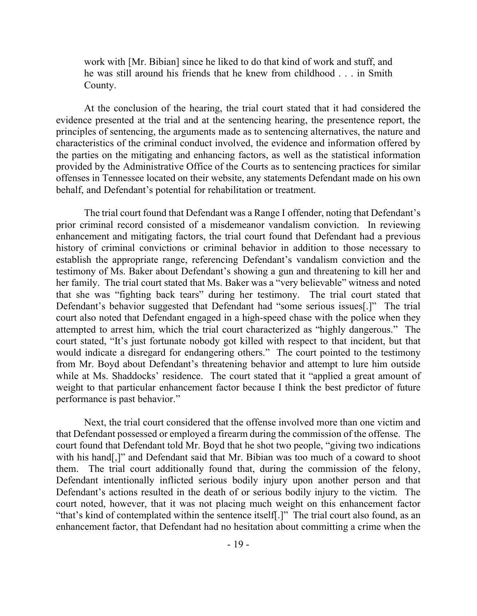work with [Mr. Bibian] since he liked to do that kind of work and stuff, and he was still around his friends that he knew from childhood . . . in Smith County.

At the conclusion of the hearing, the trial court stated that it had considered the evidence presented at the trial and at the sentencing hearing, the presentence report, the principles of sentencing, the arguments made as to sentencing alternatives, the nature and characteristics of the criminal conduct involved, the evidence and information offered by the parties on the mitigating and enhancing factors, as well as the statistical information provided by the Administrative Office of the Courts as to sentencing practices for similar offenses in Tennessee located on their website, any statements Defendant made on his own behalf, and Defendant's potential for rehabilitation or treatment.

The trial court found that Defendant was a Range I offender, noting that Defendant's prior criminal record consisted of a misdemeanor vandalism conviction. In reviewing enhancement and mitigating factors, the trial court found that Defendant had a previous history of criminal convictions or criminal behavior in addition to those necessary to establish the appropriate range, referencing Defendant's vandalism conviction and the testimony of Ms. Baker about Defendant's showing a gun and threatening to kill her and her family. The trial court stated that Ms. Baker was a "very believable" witness and noted that she was "fighting back tears" during her testimony. The trial court stated that Defendant's behavior suggested that Defendant had "some serious issues[.]" The trial court also noted that Defendant engaged in a high-speed chase with the police when they attempted to arrest him, which the trial court characterized as "highly dangerous." The court stated, "It's just fortunate nobody got killed with respect to that incident, but that would indicate a disregard for endangering others." The court pointed to the testimony from Mr. Boyd about Defendant's threatening behavior and attempt to lure him outside while at Ms. Shaddocks' residence. The court stated that it "applied a great amount of weight to that particular enhancement factor because I think the best predictor of future performance is past behavior."

Next, the trial court considered that the offense involved more than one victim and that Defendant possessed or employed a firearm during the commission of the offense. The court found that Defendant told Mr. Boyd that he shot two people, "giving two indications with his hand[,]" and Defendant said that Mr. Bibian was too much of a coward to shoot them. The trial court additionally found that, during the commission of the felony, Defendant intentionally inflicted serious bodily injury upon another person and that Defendant's actions resulted in the death of or serious bodily injury to the victim. The court noted, however, that it was not placing much weight on this enhancement factor "that's kind of contemplated within the sentence itself[.]" The trial court also found, as an enhancement factor, that Defendant had no hesitation about committing a crime when the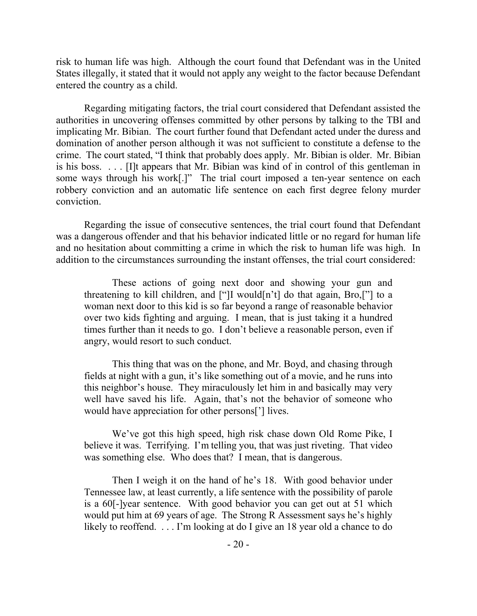risk to human life was high. Although the court found that Defendant was in the United States illegally, it stated that it would not apply any weight to the factor because Defendant entered the country as a child.

Regarding mitigating factors, the trial court considered that Defendant assisted the authorities in uncovering offenses committed by other persons by talking to the TBI and implicating Mr. Bibian. The court further found that Defendant acted under the duress and domination of another person although it was not sufficient to constitute a defense to the crime. The court stated, "I think that probably does apply. Mr. Bibian is older. Mr. Bibian is his boss. . . . [I]t appears that Mr. Bibian was kind of in control of this gentleman in some ways through his work[.]" The trial court imposed a ten-year sentence on each robbery conviction and an automatic life sentence on each first degree felony murder conviction.

Regarding the issue of consecutive sentences, the trial court found that Defendant was a dangerous offender and that his behavior indicated little or no regard for human life and no hesitation about committing a crime in which the risk to human life was high. In addition to the circumstances surrounding the instant offenses, the trial court considered:

These actions of going next door and showing your gun and threatening to kill children, and ["]I would[n't] do that again, Bro,["] to a woman next door to this kid is so far beyond a range of reasonable behavior over two kids fighting and arguing. I mean, that is just taking it a hundred times further than it needs to go. I don't believe a reasonable person, even if angry, would resort to such conduct.

This thing that was on the phone, and Mr. Boyd, and chasing through fields at night with a gun, it's like something out of a movie, and he runs into this neighbor's house. They miraculously let him in and basically may very well have saved his life. Again, that's not the behavior of someone who would have appreciation for other persons['] lives.

We've got this high speed, high risk chase down Old Rome Pike, I believe it was. Terrifying. I'm telling you, that was just riveting. That video was something else. Who does that? I mean, that is dangerous.

Then I weigh it on the hand of he's 18. With good behavior under Tennessee law, at least currently, a life sentence with the possibility of parole is a 60[-]year sentence. With good behavior you can get out at 51 which would put him at 69 years of age. The Strong R Assessment says he's highly likely to reoffend. . . . I'm looking at do I give an 18 year old a chance to do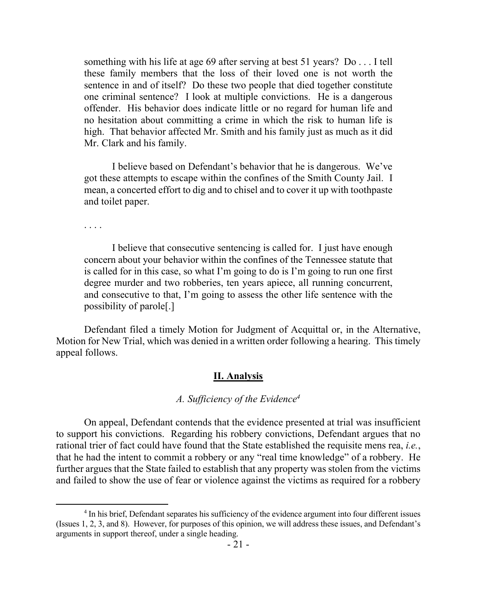something with his life at age 69 after serving at best 51 years? Do . . . I tell these family members that the loss of their loved one is not worth the sentence in and of itself? Do these two people that died together constitute one criminal sentence? I look at multiple convictions. He is a dangerous offender. His behavior does indicate little or no regard for human life and no hesitation about committing a crime in which the risk to human life is high. That behavior affected Mr. Smith and his family just as much as it did Mr. Clark and his family.

I believe based on Defendant's behavior that he is dangerous. We've got these attempts to escape within the confines of the Smith County Jail. I mean, a concerted effort to dig and to chisel and to cover it up with toothpaste and toilet paper.

. . . .

 $\overline{a}$ 

I believe that consecutive sentencing is called for. I just have enough concern about your behavior within the confines of the Tennessee statute that is called for in this case, so what I'm going to do is I'm going to run one first degree murder and two robberies, ten years apiece, all running concurrent, and consecutive to that, I'm going to assess the other life sentence with the possibility of parole[.]

Defendant filed a timely Motion for Judgment of Acquittal or, in the Alternative, Motion for New Trial, which was denied in a written order following a hearing. This timely appeal follows.

### **II. Analysis**

## *A. Sufficiency of the Evidence<sup>4</sup>*

On appeal, Defendant contends that the evidence presented at trial was insufficient to support his convictions. Regarding his robbery convictions, Defendant argues that no rational trier of fact could have found that the State established the requisite mens rea, *i.e.*, that he had the intent to commit a robbery or any "real time knowledge" of a robbery. He further argues that the State failed to establish that any property was stolen from the victims and failed to show the use of fear or violence against the victims as required for a robbery

<sup>&</sup>lt;sup>4</sup> In his brief, Defendant separates his sufficiency of the evidence argument into four different issues (Issues 1, 2, 3, and 8). However, for purposes of this opinion, we will address these issues, and Defendant's arguments in support thereof, under a single heading.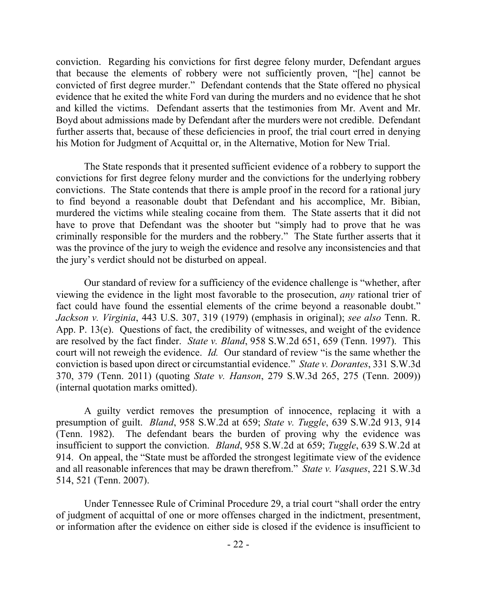conviction. Regarding his convictions for first degree felony murder, Defendant argues that because the elements of robbery were not sufficiently proven, "[he] cannot be convicted of first degree murder." Defendant contends that the State offered no physical evidence that he exited the white Ford van during the murders and no evidence that he shot and killed the victims. Defendant asserts that the testimonies from Mr. Avent and Mr. Boyd about admissions made by Defendant after the murders were not credible. Defendant further asserts that, because of these deficiencies in proof, the trial court erred in denying his Motion for Judgment of Acquittal or, in the Alternative, Motion for New Trial.

The State responds that it presented sufficient evidence of a robbery to support the convictions for first degree felony murder and the convictions for the underlying robbery convictions. The State contends that there is ample proof in the record for a rational jury to find beyond a reasonable doubt that Defendant and his accomplice, Mr. Bibian, murdered the victims while stealing cocaine from them. The State asserts that it did not have to prove that Defendant was the shooter but "simply had to prove that he was criminally responsible for the murders and the robbery." The State further asserts that it was the province of the jury to weigh the evidence and resolve any inconsistencies and that the jury's verdict should not be disturbed on appeal.

Our standard of review for a sufficiency of the evidence challenge is "whether, after viewing the evidence in the light most favorable to the prosecution, *any* rational trier of fact could have found the essential elements of the crime beyond a reasonable doubt." *Jackson v. Virginia*, 443 U.S. 307, 319 (1979) (emphasis in original); *see also* Tenn. R. App. P. 13(e). Questions of fact, the credibility of witnesses, and weight of the evidence are resolved by the fact finder. *State v. Bland*, 958 S.W.2d 651, 659 (Tenn. 1997). This court will not reweigh the evidence. *Id.* Our standard of review "is the same whether the conviction is based upon direct or circumstantial evidence." *State v. Dorantes*, 331 S.W.3d 370, 379 (Tenn. 2011) (quoting *State v. Hanson*, 279 S.W.3d 265, 275 (Tenn. 2009)) (internal quotation marks omitted).

A guilty verdict removes the presumption of innocence, replacing it with a presumption of guilt. *Bland*, 958 S.W.2d at 659; *State v. Tuggle*, 639 S.W.2d 913, 914 (Tenn. 1982). The defendant bears the burden of proving why the evidence was insufficient to support the conviction. *Bland*, 958 S.W.2d at 659; *Tuggle*, 639 S.W.2d at 914. On appeal, the "State must be afforded the strongest legitimate view of the evidence and all reasonable inferences that may be drawn therefrom." *State v. Vasques*, 221 S.W.3d 514, 521 (Tenn. 2007).

Under Tennessee Rule of Criminal Procedure 29, a trial court "shall order the entry of judgment of acquittal of one or more offenses charged in the indictment, presentment, or information after the evidence on either side is closed if the evidence is insufficient to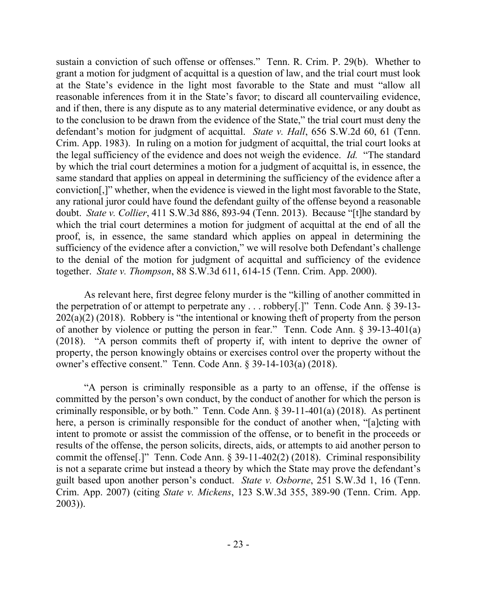sustain a conviction of such offense or offenses." Tenn. R. Crim. P. 29(b). Whether to grant a motion for judgment of acquittal is a question of law, and the trial court must look at the State's evidence in the light most favorable to the State and must "allow all reasonable inferences from it in the State's favor; to discard all countervailing evidence, and if then, there is any dispute as to any material determinative evidence, or any doubt as to the conclusion to be drawn from the evidence of the State," the trial court must deny the defendant's motion for judgment of acquittal. *State v. Hall*, 656 S.W.2d 60, 61 (Tenn. Crim. App. 1983). In ruling on a motion for judgment of acquittal, the trial court looks at the legal sufficiency of the evidence and does not weigh the evidence. *Id.* "The standard by which the trial court determines a motion for a judgment of acquittal is, in essence, the same standard that applies on appeal in determining the sufficiency of the evidence after a conviction[,]" whether, when the evidence is viewed in the light most favorable to the State, any rational juror could have found the defendant guilty of the offense beyond a reasonable doubt. *State v. Collier*, 411 S.W.3d 886, 893-94 (Tenn. 2013). Because "[t]he standard by which the trial court determines a motion for judgment of acquittal at the end of all the proof, is, in essence, the same standard which applies on appeal in determining the sufficiency of the evidence after a conviction," we will resolve both Defendant's challenge to the denial of the motion for judgment of acquittal and sufficiency of the evidence together. *State v. Thompson*, 88 S.W.3d 611, 614-15 (Tenn. Crim. App. 2000).

As relevant here, first degree felony murder is the "killing of another committed in the perpetration of or attempt to perpetrate any . . . robbery[.]" Tenn. Code Ann. § 39-13- 202(a)(2) (2018). Robbery is "the intentional or knowing theft of property from the person of another by violence or putting the person in fear." Tenn. Code Ann. § 39-13-401(a) (2018). "A person commits theft of property if, with intent to deprive the owner of property, the person knowingly obtains or exercises control over the property without the owner's effective consent." Tenn. Code Ann. § 39-14-103(a) (2018).

"A person is criminally responsible as a party to an offense, if the offense is committed by the person's own conduct, by the conduct of another for which the person is criminally responsible, or by both." Tenn. Code Ann.  $\S$  39-11-401(a) (2018). As pertinent here, a person is criminally responsible for the conduct of another when, "[a]cting with intent to promote or assist the commission of the offense, or to benefit in the proceeds or results of the offense, the person solicits, directs, aids, or attempts to aid another person to commit the offense[.]" Tenn. Code Ann. § 39-11-402(2) (2018). Criminal responsibility is not a separate crime but instead a theory by which the State may prove the defendant's guilt based upon another person's conduct. *State v. Osborne*, 251 S.W.3d 1, 16 (Tenn. Crim. App. 2007) (citing *State v. Mickens*, 123 S.W.3d 355, 389-90 (Tenn. Crim. App. 2003)).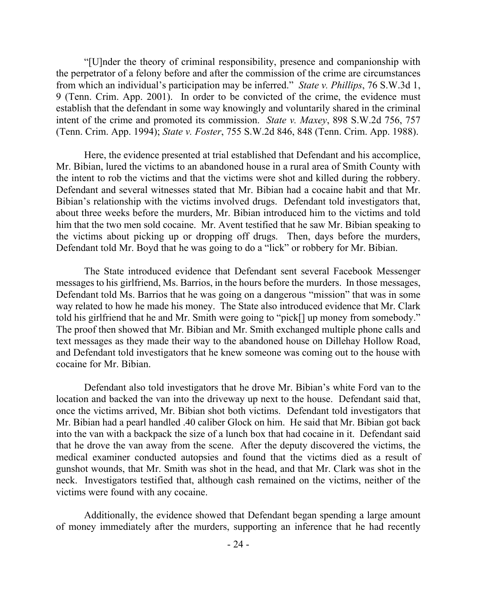"[U]nder the theory of criminal responsibility, presence and companionship with the perpetrator of a felony before and after the commission of the crime are circumstances from which an individual's participation may be inferred." *State v. Phillips*, 76 S.W.3d 1, 9 (Tenn. Crim. App. 2001). In order to be convicted of the crime, the evidence must establish that the defendant in some way knowingly and voluntarily shared in the criminal intent of the crime and promoted its commission. *State v. Maxey*, 898 S.W.2d 756, 757 (Tenn. Crim. App. 1994); *State v. Foster*, 755 S.W.2d 846, 848 (Tenn. Crim. App. 1988).

Here, the evidence presented at trial established that Defendant and his accomplice, Mr. Bibian, lured the victims to an abandoned house in a rural area of Smith County with the intent to rob the victims and that the victims were shot and killed during the robbery. Defendant and several witnesses stated that Mr. Bibian had a cocaine habit and that Mr. Bibian's relationship with the victims involved drugs. Defendant told investigators that, about three weeks before the murders, Mr. Bibian introduced him to the victims and told him that the two men sold cocaine. Mr. Avent testified that he saw Mr. Bibian speaking to the victims about picking up or dropping off drugs. Then, days before the murders, Defendant told Mr. Boyd that he was going to do a "lick" or robbery for Mr. Bibian.

The State introduced evidence that Defendant sent several Facebook Messenger messages to his girlfriend, Ms. Barrios, in the hours before the murders. In those messages, Defendant told Ms. Barrios that he was going on a dangerous "mission" that was in some way related to how he made his money. The State also introduced evidence that Mr. Clark told his girlfriend that he and Mr. Smith were going to "pick[] up money from somebody." The proof then showed that Mr. Bibian and Mr. Smith exchanged multiple phone calls and text messages as they made their way to the abandoned house on Dillehay Hollow Road, and Defendant told investigators that he knew someone was coming out to the house with cocaine for Mr. Bibian.

Defendant also told investigators that he drove Mr. Bibian's white Ford van to the location and backed the van into the driveway up next to the house. Defendant said that, once the victims arrived, Mr. Bibian shot both victims. Defendant told investigators that Mr. Bibian had a pearl handled .40 caliber Glock on him. He said that Mr. Bibian got back into the van with a backpack the size of a lunch box that had cocaine in it. Defendant said that he drove the van away from the scene. After the deputy discovered the victims, the medical examiner conducted autopsies and found that the victims died as a result of gunshot wounds, that Mr. Smith was shot in the head, and that Mr. Clark was shot in the neck. Investigators testified that, although cash remained on the victims, neither of the victims were found with any cocaine.

Additionally, the evidence showed that Defendant began spending a large amount of money immediately after the murders, supporting an inference that he had recently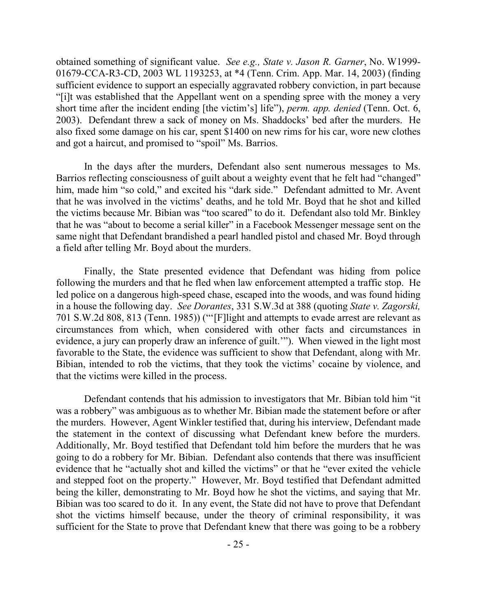obtained something of significant value. *See e.g., State v. Jason R. Garner*, No. W1999- 01679-CCA-R3-CD, 2003 WL 1193253, at \*4 (Tenn. Crim. App. Mar. 14, 2003) (finding sufficient evidence to support an especially aggravated robbery conviction, in part because "[i]t was established that the Appellant went on a spending spree with the money a very short time after the incident ending [the victim's] life"), *perm. app. denied* (Tenn. Oct. 6, 2003). Defendant threw a sack of money on Ms. Shaddocks' bed after the murders. He also fixed some damage on his car, spent \$1400 on new rims for his car, wore new clothes and got a haircut, and promised to "spoil" Ms. Barrios.

In the days after the murders, Defendant also sent numerous messages to Ms. Barrios reflecting consciousness of guilt about a weighty event that he felt had "changed" him, made him "so cold," and excited his "dark side." Defendant admitted to Mr. Avent that he was involved in the victims' deaths, and he told Mr. Boyd that he shot and killed the victims because Mr. Bibian was "too scared" to do it. Defendant also told Mr. Binkley that he was "about to become a serial killer" in a Facebook Messenger message sent on the same night that Defendant brandished a pearl handled pistol and chased Mr. Boyd through a field after telling Mr. Boyd about the murders.

Finally, the State presented evidence that Defendant was hiding from police following the murders and that he fled when law enforcement attempted a traffic stop. He led police on a dangerous high-speed chase, escaped into the woods, and was found hiding in a house the following day. *See Dorantes*, 331 S.W.3d at 388 (quoting *State v. Zagorski,* 701 S.W.2d 808, 813 (Tenn. 1985)) ("'[F]light and attempts to evade arrest are relevant as circumstances from which, when considered with other facts and circumstances in evidence, a jury can properly draw an inference of guilt.'"). When viewed in the light most favorable to the State, the evidence was sufficient to show that Defendant, along with Mr. Bibian, intended to rob the victims, that they took the victims' cocaine by violence, and that the victims were killed in the process.

Defendant contends that his admission to investigators that Mr. Bibian told him "it was a robbery" was ambiguous as to whether Mr. Bibian made the statement before or after the murders. However, Agent Winkler testified that, during his interview, Defendant made the statement in the context of discussing what Defendant knew before the murders. Additionally, Mr. Boyd testified that Defendant told him before the murders that he was going to do a robbery for Mr. Bibian. Defendant also contends that there was insufficient evidence that he "actually shot and killed the victims" or that he "ever exited the vehicle and stepped foot on the property." However, Mr. Boyd testified that Defendant admitted being the killer, demonstrating to Mr. Boyd how he shot the victims, and saying that Mr. Bibian was too scared to do it. In any event, the State did not have to prove that Defendant shot the victims himself because, under the theory of criminal responsibility, it was sufficient for the State to prove that Defendant knew that there was going to be a robbery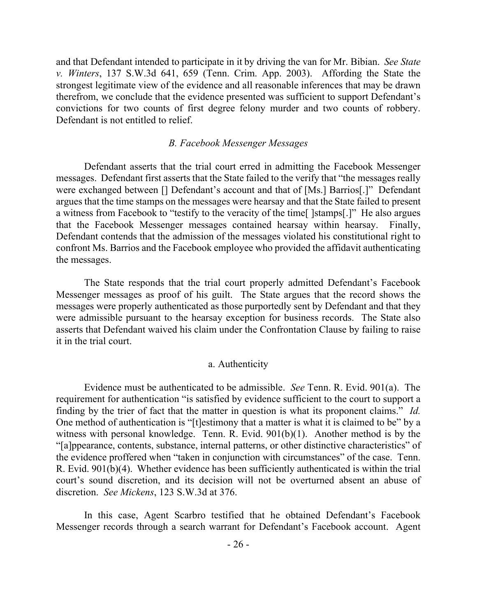and that Defendant intended to participate in it by driving the van for Mr. Bibian. *See State v. Winters*, 137 S.W.3d 641, 659 (Tenn. Crim. App. 2003). Affording the State the strongest legitimate view of the evidence and all reasonable inferences that may be drawn therefrom, we conclude that the evidence presented was sufficient to support Defendant's convictions for two counts of first degree felony murder and two counts of robbery. Defendant is not entitled to relief.

#### *B. Facebook Messenger Messages*

Defendant asserts that the trial court erred in admitting the Facebook Messenger messages. Defendant first asserts that the State failed to the verify that "the messages really were exchanged between [] Defendant's account and that of [Ms.] Barrios[.]" Defendant argues that the time stamps on the messages were hearsay and that the State failed to present a witness from Facebook to "testify to the veracity of the time[ ]stamps[.]" He also argues that the Facebook Messenger messages contained hearsay within hearsay. Finally, Defendant contends that the admission of the messages violated his constitutional right to confront Ms. Barrios and the Facebook employee who provided the affidavit authenticating the messages.

The State responds that the trial court properly admitted Defendant's Facebook Messenger messages as proof of his guilt. The State argues that the record shows the messages were properly authenticated as those purportedly sent by Defendant and that they were admissible pursuant to the hearsay exception for business records. The State also asserts that Defendant waived his claim under the Confrontation Clause by failing to raise it in the trial court.

### a. Authenticity

Evidence must be authenticated to be admissible. *See* Tenn. R. Evid. 901(a). The requirement for authentication "is satisfied by evidence sufficient to the court to support a finding by the trier of fact that the matter in question is what its proponent claims." *Id.* One method of authentication is "[t]estimony that a matter is what it is claimed to be" by a witness with personal knowledge. Tenn. R. Evid. 901(b)(1). Another method is by the "[a]ppearance, contents, substance, internal patterns, or other distinctive characteristics" of the evidence proffered when "taken in conjunction with circumstances" of the case. Tenn. R. Evid. 901(b)(4). Whether evidence has been sufficiently authenticated is within the trial court's sound discretion, and its decision will not be overturned absent an abuse of discretion. *See Mickens*, 123 S.W.3d at 376.

In this case, Agent Scarbro testified that he obtained Defendant's Facebook Messenger records through a search warrant for Defendant's Facebook account. Agent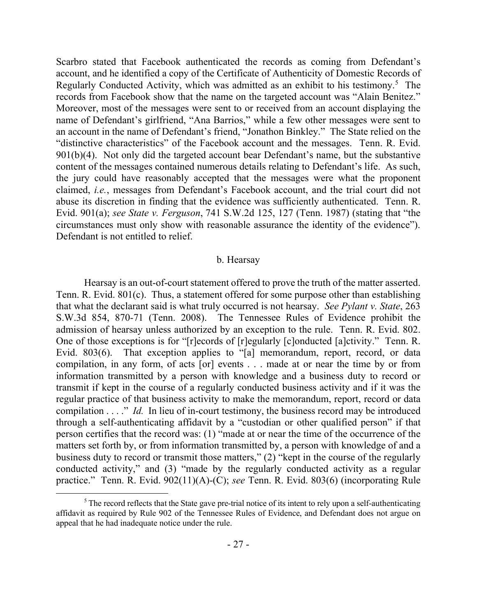Scarbro stated that Facebook authenticated the records as coming from Defendant's account, and he identified a copy of the Certificate of Authenticity of Domestic Records of Regularly Conducted Activity, which was admitted as an exhibit to his testimony.<sup>5</sup> The records from Facebook show that the name on the targeted account was "Alain Benitez." Moreover, most of the messages were sent to or received from an account displaying the name of Defendant's girlfriend, "Ana Barrios," while a few other messages were sent to an account in the name of Defendant's friend, "Jonathon Binkley." The State relied on the "distinctive characteristics" of the Facebook account and the messages. Tenn. R. Evid. 901(b)(4). Not only did the targeted account bear Defendant's name, but the substantive content of the messages contained numerous details relating to Defendant's life. As such, the jury could have reasonably accepted that the messages were what the proponent claimed, *i.e.*, messages from Defendant's Facebook account, and the trial court did not abuse its discretion in finding that the evidence was sufficiently authenticated. Tenn. R. Evid. 901(a); *see State v. Ferguson*, 741 S.W.2d 125, 127 (Tenn. 1987) (stating that "the circumstances must only show with reasonable assurance the identity of the evidence"). Defendant is not entitled to relief.

#### b. Hearsay

Hearsay is an out-of-court statement offered to prove the truth of the matter asserted. Tenn. R. Evid. 801(c). Thus, a statement offered for some purpose other than establishing that what the declarant said is what truly occurred is not hearsay. *See Pylant v. State*, 263 S.W.3d 854, 870-71 (Tenn. 2008). The Tennessee Rules of Evidence prohibit the admission of hearsay unless authorized by an exception to the rule. Tenn. R. Evid. 802. One of those exceptions is for "[r]ecords of [r]egularly [c]onducted [a]ctivity." Tenn. R. Evid. 803(6). That exception applies to "[a] memorandum, report, record, or data compilation, in any form, of acts [or] events . . . made at or near the time by or from information transmitted by a person with knowledge and a business duty to record or transmit if kept in the course of a regularly conducted business activity and if it was the regular practice of that business activity to make the memorandum, report, record or data compilation . . . ." *Id.* In lieu of in-court testimony, the business record may be introduced through a self-authenticating affidavit by a "custodian or other qualified person" if that person certifies that the record was: (1) "made at or near the time of the occurrence of the matters set forth by, or from information transmitted by, a person with knowledge of and a business duty to record or transmit those matters," (2) "kept in the course of the regularly conducted activity," and (3) "made by the regularly conducted activity as a regular practice." Tenn. R. Evid. 902(11)(A)-(C); *see* Tenn. R. Evid. 803(6) (incorporating Rule

 $\overline{a}$ 

 $<sup>5</sup>$  The record reflects that the State gave pre-trial notice of its intent to rely upon a self-authenticating</sup> affidavit as required by Rule 902 of the Tennessee Rules of Evidence, and Defendant does not argue on appeal that he had inadequate notice under the rule.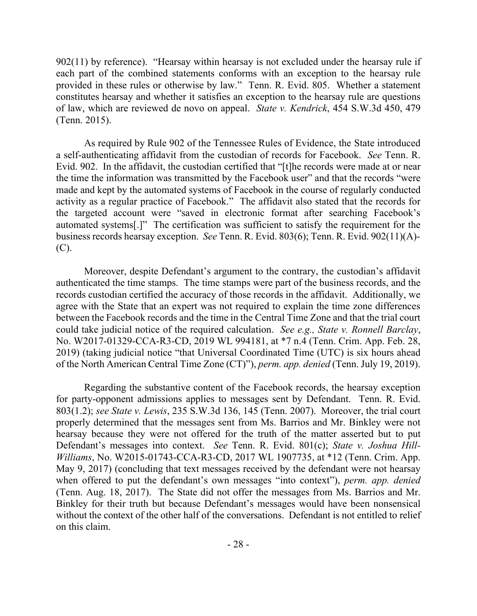902(11) by reference). "Hearsay within hearsay is not excluded under the hearsay rule if each part of the combined statements conforms with an exception to the hearsay rule provided in these rules or otherwise by law." Tenn. R. Evid. 805. Whether a statement constitutes hearsay and whether it satisfies an exception to the hearsay rule are questions of law, which are reviewed de novo on appeal. *State v. Kendrick*, 454 S.W.3d 450, 479 (Tenn. 2015).

As required by Rule 902 of the Tennessee Rules of Evidence, the State introduced a self-authenticating affidavit from the custodian of records for Facebook. *See* Tenn. R. Evid. 902. In the affidavit, the custodian certified that "[t]he records were made at or near the time the information was transmitted by the Facebook user" and that the records "were made and kept by the automated systems of Facebook in the course of regularly conducted activity as a regular practice of Facebook." The affidavit also stated that the records for the targeted account were "saved in electronic format after searching Facebook's automated systems[.]" The certification was sufficient to satisfy the requirement for the business records hearsay exception. *See* Tenn. R. Evid. 803(6); Tenn. R. Evid. 902(11)(A)- (C).

Moreover, despite Defendant's argument to the contrary, the custodian's affidavit authenticated the time stamps. The time stamps were part of the business records, and the records custodian certified the accuracy of those records in the affidavit. Additionally, we agree with the State that an expert was not required to explain the time zone differences between the Facebook records and the time in the Central Time Zone and that the trial court could take judicial notice of the required calculation. *See e.g., State v. Ronnell Barclay*, No. W2017-01329-CCA-R3-CD, 2019 WL 994181, at \*7 n.4 (Tenn. Crim. App. Feb. 28, 2019) (taking judicial notice "that Universal Coordinated Time (UTC) is six hours ahead of the North American Central Time Zone (CT)"), *perm. app. denied* (Tenn. July 19, 2019).

Regarding the substantive content of the Facebook records, the hearsay exception for party-opponent admissions applies to messages sent by Defendant. Tenn. R. Evid. 803(1.2); *see State v. Lewis*, 235 S.W.3d 136, 145 (Tenn. 2007). Moreover, the trial court properly determined that the messages sent from Ms. Barrios and Mr. Binkley were not hearsay because they were not offered for the truth of the matter asserted but to put Defendant's messages into context. *See* Tenn. R. Evid. 801(c); *State v. Joshua Hill-Williams*, No. W2015-01743-CCA-R3-CD, 2017 WL 1907735, at \*12 (Tenn. Crim. App. May 9, 2017) (concluding that text messages received by the defendant were not hearsay when offered to put the defendant's own messages "into context"), *perm. app. denied* (Tenn. Aug. 18, 2017). The State did not offer the messages from Ms. Barrios and Mr. Binkley for their truth but because Defendant's messages would have been nonsensical without the context of the other half of the conversations. Defendant is not entitled to relief on this claim.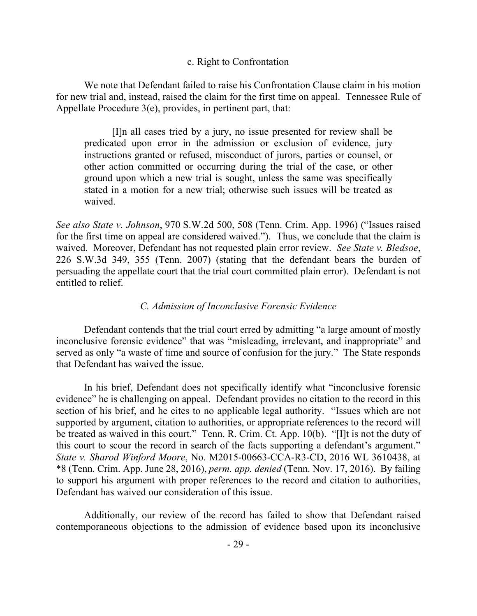### c. Right to Confrontation

We note that Defendant failed to raise his Confrontation Clause claim in his motion for new trial and, instead, raised the claim for the first time on appeal. Tennessee Rule of Appellate Procedure 3(e), provides, in pertinent part, that:

[I]n all cases tried by a jury, no issue presented for review shall be predicated upon error in the admission or exclusion of evidence, jury instructions granted or refused, misconduct of jurors, parties or counsel, or other action committed or occurring during the trial of the case, or other ground upon which a new trial is sought, unless the same was specifically stated in a motion for a new trial; otherwise such issues will be treated as waived.

*See also State v. Johnson*, 970 S.W.2d 500, 508 (Tenn. Crim. App. 1996) ("Issues raised for the first time on appeal are considered waived."). Thus, we conclude that the claim is waived. Moreover, Defendant has not requested plain error review. *See State v. Bledsoe*, 226 S.W.3d 349, 355 (Tenn. 2007) (stating that the defendant bears the burden of persuading the appellate court that the trial court committed plain error). Defendant is not entitled to relief.

## *C. Admission of Inconclusive Forensic Evidence*

Defendant contends that the trial court erred by admitting "a large amount of mostly inconclusive forensic evidence" that was "misleading, irrelevant, and inappropriate" and served as only "a waste of time and source of confusion for the jury." The State responds that Defendant has waived the issue.

In his brief, Defendant does not specifically identify what "inconclusive forensic evidence" he is challenging on appeal. Defendant provides no citation to the record in this section of his brief, and he cites to no applicable legal authority. "Issues which are not supported by argument, citation to authorities, or appropriate references to the record will be treated as waived in this court." Tenn. R. Crim. Ct. App. 10(b). "[I]t is not the duty of this court to scour the record in search of the facts supporting a defendant's argument." *State v. Sharod Winford Moore*, No. M2015-00663-CCA-R3-CD, 2016 WL 3610438, at \*8 (Tenn. Crim. App. June 28, 2016), *perm. app. denied* (Tenn. Nov. 17, 2016). By failing to support his argument with proper references to the record and citation to authorities, Defendant has waived our consideration of this issue.

Additionally, our review of the record has failed to show that Defendant raised contemporaneous objections to the admission of evidence based upon its inconclusive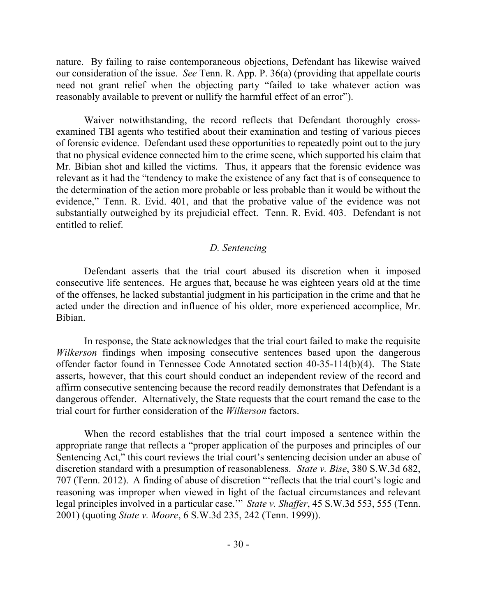nature. By failing to raise contemporaneous objections, Defendant has likewise waived our consideration of the issue. *See* Tenn. R. App. P. 36(a) (providing that appellate courts need not grant relief when the objecting party "failed to take whatever action was reasonably available to prevent or nullify the harmful effect of an error").

Waiver notwithstanding, the record reflects that Defendant thoroughly crossexamined TBI agents who testified about their examination and testing of various pieces of forensic evidence. Defendant used these opportunities to repeatedly point out to the jury that no physical evidence connected him to the crime scene, which supported his claim that Mr. Bibian shot and killed the victims. Thus, it appears that the forensic evidence was relevant as it had the "tendency to make the existence of any fact that is of consequence to the determination of the action more probable or less probable than it would be without the evidence," Tenn. R. Evid. 401, and that the probative value of the evidence was not substantially outweighed by its prejudicial effect. Tenn. R. Evid. 403. Defendant is not entitled to relief.

### *D. Sentencing*

Defendant asserts that the trial court abused its discretion when it imposed consecutive life sentences. He argues that, because he was eighteen years old at the time of the offenses, he lacked substantial judgment in his participation in the crime and that he acted under the direction and influence of his older, more experienced accomplice, Mr. Bibian.

In response, the State acknowledges that the trial court failed to make the requisite *Wilkerson* findings when imposing consecutive sentences based upon the dangerous offender factor found in Tennessee Code Annotated section 40-35-114(b)(4). The State asserts, however, that this court should conduct an independent review of the record and affirm consecutive sentencing because the record readily demonstrates that Defendant is a dangerous offender. Alternatively, the State requests that the court remand the case to the trial court for further consideration of the *Wilkerson* factors.

When the record establishes that the trial court imposed a sentence within the appropriate range that reflects a "proper application of the purposes and principles of our Sentencing Act," this court reviews the trial court's sentencing decision under an abuse of discretion standard with a presumption of reasonableness. *State v. Bise*, 380 S.W.3d 682, 707 (Tenn. 2012). A finding of abuse of discretion "'reflects that the trial court's logic and reasoning was improper when viewed in light of the factual circumstances and relevant legal principles involved in a particular case.'" *State v. Shaffer*, 45 S.W.3d 553, 555 (Tenn. 2001) (quoting *State v. Moore*, 6 S.W.3d 235, 242 (Tenn. 1999)).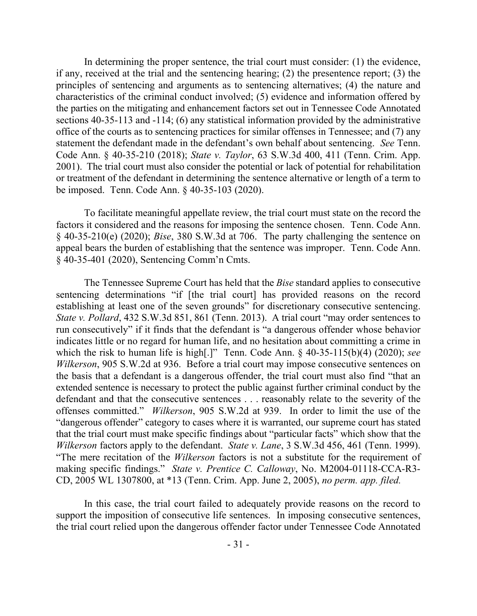In determining the proper sentence, the trial court must consider: (1) the evidence, if any, received at the trial and the sentencing hearing; (2) the presentence report; (3) the principles of sentencing and arguments as to sentencing alternatives; (4) the nature and characteristics of the criminal conduct involved; (5) evidence and information offered by the parties on the mitigating and enhancement factors set out in Tennessee Code Annotated sections 40-35-113 and -114; (6) any statistical information provided by the administrative office of the courts as to sentencing practices for similar offenses in Tennessee; and (7) any statement the defendant made in the defendant's own behalf about sentencing. *See* Tenn. Code Ann. § 40-35-210 (2018); *State v. Taylor*, 63 S.W.3d 400, 411 (Tenn. Crim. App. 2001). The trial court must also consider the potential or lack of potential for rehabilitation or treatment of the defendant in determining the sentence alternative or length of a term to be imposed. Tenn. Code Ann. § 40-35-103 (2020).

To facilitate meaningful appellate review, the trial court must state on the record the factors it considered and the reasons for imposing the sentence chosen. Tenn. Code Ann. § 40-35-210(e) (2020); *Bise*, 380 S.W.3d at 706. The party challenging the sentence on appeal bears the burden of establishing that the sentence was improper. Tenn. Code Ann. § 40-35-401 (2020), Sentencing Comm'n Cmts.

The Tennessee Supreme Court has held that the *Bise* standard applies to consecutive sentencing determinations "if [the trial court] has provided reasons on the record establishing at least one of the seven grounds" for discretionary consecutive sentencing. *State v. Pollard*, 432 S.W.3d 851, 861 (Tenn. 2013). A trial court "may order sentences to run consecutively" if it finds that the defendant is "a dangerous offender whose behavior indicates little or no regard for human life, and no hesitation about committing a crime in which the risk to human life is high[.]" Tenn. Code Ann. § 40-35-115(b)(4) (2020); *see Wilkerson*, 905 S.W.2d at 936. Before a trial court may impose consecutive sentences on the basis that a defendant is a dangerous offender, the trial court must also find "that an extended sentence is necessary to protect the public against further criminal conduct by the defendant and that the consecutive sentences . . . reasonably relate to the severity of the offenses committed." *Wilkerson*, 905 S.W.2d at 939. In order to limit the use of the "dangerous offender" category to cases where it is warranted, our supreme court has stated that the trial court must make specific findings about "particular facts" which show that the *Wilkerson* factors apply to the defendant. *State v. Lane*, 3 S.W.3d 456, 461 (Tenn. 1999). "The mere recitation of the *Wilkerson* factors is not a substitute for the requirement of making specific findings." *State v. Prentice C. Calloway*, No. M2004-01118-CCA-R3- CD, 2005 WL 1307800, at \*13 (Tenn. Crim. App. June 2, 2005), *no perm. app. filed.*

In this case, the trial court failed to adequately provide reasons on the record to support the imposition of consecutive life sentences. In imposing consecutive sentences, the trial court relied upon the dangerous offender factor under Tennessee Code Annotated